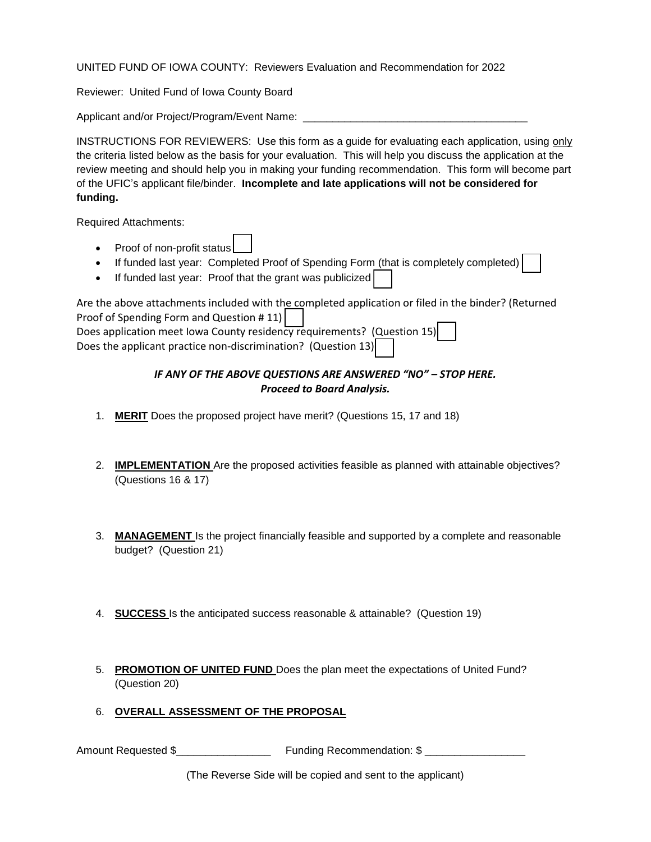UNITED FUND OF IOWA COUNTY: Reviewers Evaluation and Recommendation for 2022

Reviewer: United Fund of Iowa County Board

Applicant and/or Project/Program/Event Name: \_\_\_\_\_\_\_\_\_\_\_\_\_\_\_\_\_\_\_\_\_\_\_\_\_\_\_\_\_\_\_\_\_\_\_

INSTRUCTIONS FOR REVIEWERS: Use this form as a guide for evaluating each application, using only the criteria listed below as the basis for your evaluation. This will help you discuss the application at the review meeting and should help you in making your funding recommendation. This form will become part of the UFIC's applicant file/binder. **Incomplete and late applications will not be considered for funding.** 

Required Attachments:

- Proof of non-profit status
- If funded last year: Completed Proof of Spending Form (that is completely completed)
- If funded last year: Proof that the grant was publicized

| Are the above attachments included with the completed application or filed in the binder? (Returned |
|-----------------------------------------------------------------------------------------------------|
| Proof of Spending Form and Question #11)                                                            |
| Does application meet Iowa County residency requirements? (Question 15)                             |
| Does the applicant practice non-discrimination? (Question 13)                                       |

## *IF ANY OF THE ABOVE QUESTIONS ARE ANSWERED "NO" – STOP HERE. Proceed to Board Analysis.*

- 1. **MERIT** Does the proposed project have merit? (Questions 15, 17 and 18)
- 2. **IMPLEMENTATION** Are the proposed activities feasible as planned with attainable objectives? (Questions 16 & 17)
- 3. **MANAGEMENT** Is the project financially feasible and supported by a complete and reasonable budget? (Question 21)
- 4. **SUCCESS** Is the anticipated success reasonable & attainable? (Question 19)
- 5. **PROMOTION OF UNITED FUND** Does the plan meet the expectations of United Fund? (Question 20)
- 6. **OVERALL ASSESSMENT OF THE PROPOSAL**

Amount Requested \$\_\_\_\_\_\_\_\_\_\_\_\_\_\_\_\_ Funding Recommendation: \$ \_\_\_\_\_\_\_\_\_\_\_\_\_\_\_\_\_

(The Reverse Side will be copied and sent to the applicant)